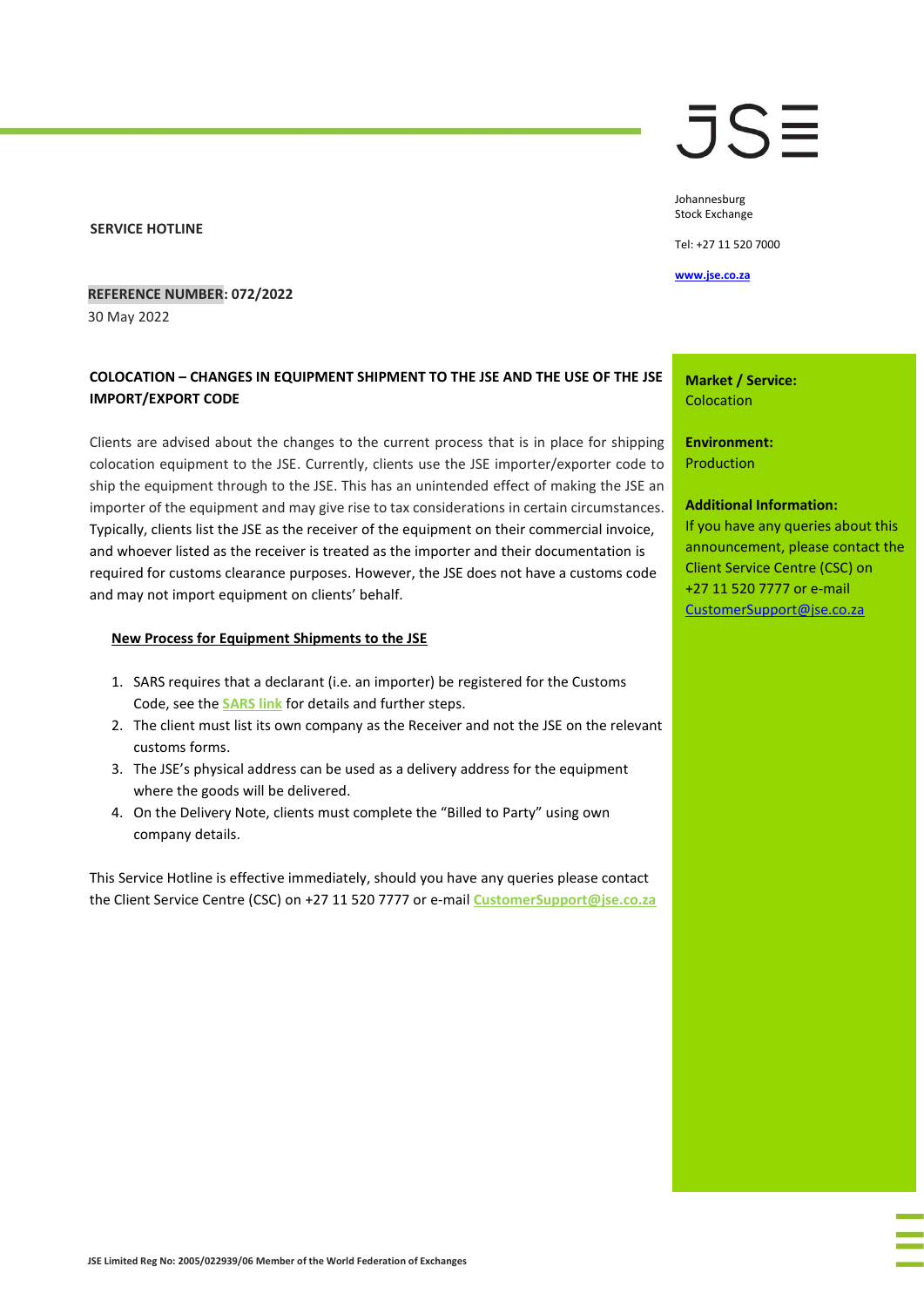**SERVICE HOTLINE**

# JSE

Johannesburg Stock Exchange

Tel: +27 11 520 7000

**[www.jse.co.za](http://www.jse.co.za/)**

## **REFERENCE NUMBER: 072/2022**

30 May 2022

# **COLOCATION – CHANGES IN EQUIPMENT SHIPMENT TO THE JSE AND THE USE OF THE JSE IMPORT/EXPORT CODE**

Clients are advised about the changes to the current process that is in place for shipping colocation equipment to the JSE. Currently, clients use the JSE importer/exporter code to ship the equipment through to the JSE. This has an unintended effect of making the JSE an importer of the equipment and may give rise to tax considerations in certain circumstances. Typically, clients list the JSE as the receiver of the equipment on their commercial invoice, and whoever listed as the receiver is treated as the importer and their documentation is required for customs clearance purposes. However, the JSE does not have a customs code and may not import equipment on clients' behalf.

### **New Process for Equipment Shipments to the JSE**

- 1. SARS requires that a declarant (i.e. an importer) be registered for the Customs Code, see the **[SARS link](https://www.sars.gov.za/customs-and-excise/import-export-and-transit/imports/)** for details and further steps.
- 2. The client must list its own company as the Receiver and not the JSE on the relevant customs forms.
- 3. The JSE's physical address can be used as a delivery address for the equipment where the goods will be delivered.
- 4. On the Delivery Note, clients must complete the "Billed to Party" using own company details.

This Service Hotline is effective immediately, should you have any queries please contact the Client Service Centre (CSC) on +27 11 520 7777 or e-mail **[CustomerSupport@jse.co.za](mailto:CustomerSupport@jse.co.za)**

#### **Market / Service: Colocation**

**Environment:** Production

#### **Additional Information:**

If you have any queries about this announcement, please contact the Client Service Centre (CSC) on +27 11 520 7777 or e-mail [CustomerSupport@jse.co.za](mailto:CustomerSupport@jse.co.za)